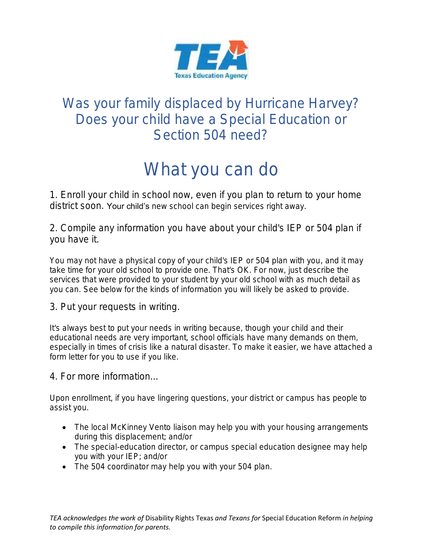

## Was your family displaced by Hurricane Harvey? Does your child have a Special Education or Section 504 need?

# What you can do

1. Enroll your child in school now, even if you plan to return to your home district soon. Your child's new school can begin services right away.

2. Compile any information you have about your child's IEP or 504 plan if you have it.

You may not have a physical copy of your child's IEP or 504 plan with you, and it may take time for your old school to provide one. That's OK. For now, just describe the services that were provided to your student by your old school with as much detail as you can. See below for the kinds of information you will likely be asked to provide.

3. Put your requests in writing.

It's always best to put your needs in writing because, though your child and their educational needs are very important, school officials have many demands on them, especially in times of crisis like a natural disaster. To make it easier, we have attached a form letter for you to use if you like.

4. For more information...

Upon enrollment, if you have lingering questions, your district or campus has people to assist you.

- The local McKinney Vento liaison may help you with your housing arrangements during this displacement; and/or
- The special-education director, or campus special education designee may help you with your IEP; and/or
- The 504 coordinator may help you with your 504 plan.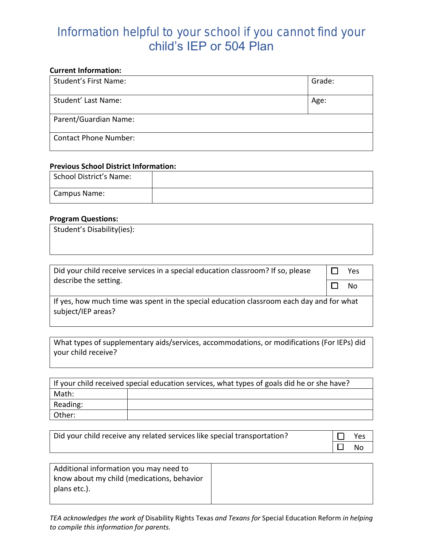## Information helpful to your school if you cannot find your child's IEP or 504 Plan

#### **Current Information:**

| <b>Student's First Name:</b> | Grade: |
|------------------------------|--------|
| Student' Last Name:          | Age:   |
| Parent/Guardian Name:        |        |
| <b>Contact Phone Number:</b> |        |

#### **Previous School District Information:**

| School District's Name: |  |
|-------------------------|--|
| Campus Name:            |  |

#### **Program Questions:**

| Did your child receive services in a special education classroom? If so, please | Yes |
|---------------------------------------------------------------------------------|-----|
| describe the setting.                                                           | No. |

If yes, how much time was spent in the special education classroom each day and for what subject/IEP areas?

What types of supplementary aids/services, accommodations, or modifications (For IEPs) did your child receive?

| If your child received special education services, what types of goals did he or she have? |  |  |
|--------------------------------------------------------------------------------------------|--|--|
| Math:                                                                                      |  |  |
| Reading:                                                                                   |  |  |
| Other:                                                                                     |  |  |

| $\Box$<br>Did your child receive any related services like special transportation? |           | Yes |
|------------------------------------------------------------------------------------|-----------|-----|
|                                                                                    | $\Box$ No |     |

| Additional information you may need to     |  |
|--------------------------------------------|--|
| know about my child (medications, behavior |  |
| plans etc.).                               |  |
|                                            |  |

*TEA acknowledges the work of* Disability Rights Texas *and Texans for* Special Education Reform *in helping to compile this information for parents.*